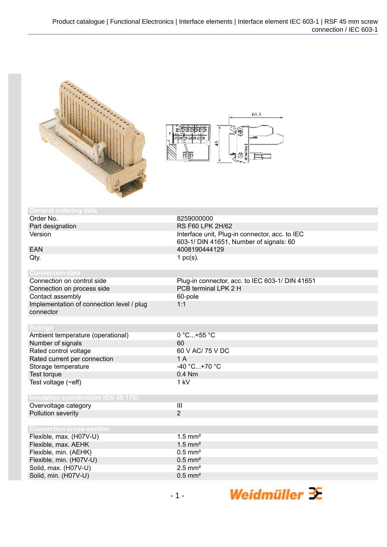



| <b>General ordering data</b>               |                                                 |
|--------------------------------------------|-------------------------------------------------|
| Order No.                                  | 8259000000                                      |
| Part designation                           | <b>RS F60 LPK 2H/62</b>                         |
| Version                                    | Interface unit, Plug-in connector, acc. to IEC  |
|                                            | 603-1/ DIN 41651, Number of signals: 60         |
| <b>EAN</b>                                 | 4008190444129                                   |
| Qty.                                       | 1 $pc(s)$ .                                     |
|                                            |                                                 |
| <b>Connection data</b>                     |                                                 |
| Connection on control side                 | Plug-in connector, acc. to IEC 603-1/ DIN 41651 |
| Connection on process side                 | PCB terminal LPK 2 H                            |
| Contact assembly                           | 60-pole                                         |
| Implementation of connection level / plug  | 1:1                                             |
| connector                                  |                                                 |
|                                            |                                                 |
| <b>Ratings</b>                             |                                                 |
| Ambient temperature (operational)          | 0 °C+55 °C                                      |
| Number of signals                          | 60                                              |
| Rated control voltage                      | 60 V AC/ 75 V DC                                |
| Rated current per connection               | 1A                                              |
| Storage temperature                        | $-40 °C+70 °C$                                  |
| Test torque                                | 0.4 Nm                                          |
| Test voltage (~eff)                        | 1 kV                                            |
|                                            |                                                 |
| <b>Insulation coordination (EN 50 178)</b> |                                                 |
| Overvoltage category                       | $\overline{\mathbf{III}}$                       |
| Pollution severity                         | $\overline{2}$                                  |
|                                            |                                                 |
| <b>Connection cross-section</b>            |                                                 |
| Flexible, max. (H07V-U)                    | $1.5$ mm <sup>2</sup>                           |
| Flexible, max. AEHK                        | $1.5$ mm <sup>2</sup>                           |
| Flexible, min. (AEHK)                      | $0.5$ mm <sup>2</sup>                           |
| Flexible, min. (H07V-U)                    | $0.5$ mm <sup>2</sup>                           |
| Solid, max. (H07V-U)                       | $2.5$ mm <sup>2</sup>                           |
| Solid, min. (H07V-U)                       | $0.5$ mm <sup>2</sup>                           |
|                                            |                                                 |

Weidmüller <